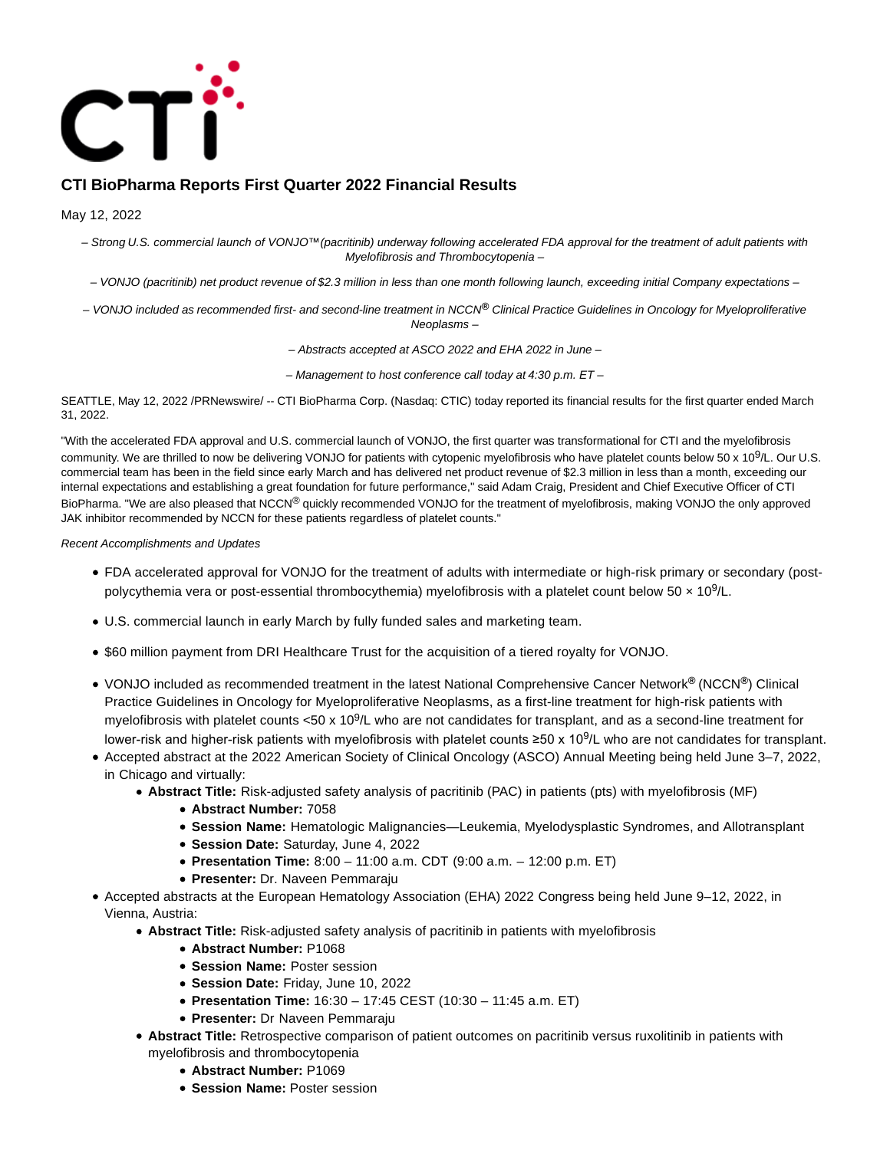

# **CTI BioPharma Reports First Quarter 2022 Financial Results**

May 12, 2022

– Strong U.S. commercial launch of VONJO™ (pacritinib) underway following accelerated FDA approval for the treatment of adult patients with Myelofibrosis and Thrombocytopenia –

– VONJO (pacritinib) net product revenue of \$2.3 million in less than one month following launch, exceeding initial Company expectations –

– VONJO included as recommended first- and second-line treatment in NCCN**®** Clinical Practice Guidelines in Oncology for Myeloproliferative Neoplasms –

– Abstracts accepted at ASCO 2022 and EHA 2022 in June –

– Management to host conference call today at 4:30 p.m. ET –

SEATTLE, May 12, 2022 /PRNewswire/ -- CTI BioPharma Corp. (Nasdaq: CTIC) today reported its financial results for the first quarter ended March 31, 2022.

"With the accelerated FDA approval and U.S. commercial launch of VONJO, the first quarter was transformational for CTI and the myelofibrosis community. We are thrilled to now be delivering VONJO for patients with cytopenic myelofibrosis who have platelet counts below 50 x 10<sup>9</sup>/L. Our U.S. commercial team has been in the field since early March and has delivered net product revenue of \$2.3 million in less than a month, exceeding our internal expectations and establishing a great foundation for future performance," said Adam Craig, President and Chief Executive Officer of CTI BioPharma. "We are also pleased that NCCN<sup>®</sup> quickly recommended VONJO for the treatment of myelofibrosis, making VONJO the only approved JAK inhibitor recommended by NCCN for these patients regardless of platelet counts."

Recent Accomplishments and Updates

- FDA accelerated approval for VONJO for the treatment of adults with intermediate or high-risk primary or secondary (postpolycythemia vera or post-essential thrombocythemia) myelofibrosis with a platelet count below 50 x 10<sup>9</sup>/L.
- U.S. commercial launch in early March by fully funded sales and marketing team.
- \$60 million payment from DRI Healthcare Trust for the acquisition of a tiered royalty for VONJO.
- VONJO included as recommended treatment in the latest National Comprehensive Cancer Network**®** (NCCN**®**) Clinical Practice Guidelines in Oncology for Myeloproliferative Neoplasms, as a first-line treatment for high-risk patients with myelofibrosis with platelet counts <50 x 10 $9$ /L who are not candidates for transplant, and as a second-line treatment for lower-risk and higher-risk patients with myelofibrosis with platelet counts ≥50 x 10<sup>9</sup>/L who are not candidates for transplant.
- Accepted abstract at the 2022 American Society of Clinical Oncology (ASCO) Annual Meeting being held June 3–7, 2022, in Chicago and virtually:
	- **Abstract Title:** Risk-adjusted safety analysis of pacritinib (PAC) in patients (pts) with myelofibrosis (MF)
		- **Abstract Number:** 7058
		- **Session Name:** Hematologic Malignancies—Leukemia, Myelodysplastic Syndromes, and Allotransplant
		- **Session Date:** Saturday, June 4, 2022
		- **Presentation Time:** 8:00 11:00 a.m. CDT (9:00 a.m. 12:00 p.m. ET)
		- **Presenter:** Dr. Naveen Pemmaraju
- Accepted abstracts at the European Hematology Association (EHA) 2022 Congress being held June 9–12, 2022, in Vienna, Austria:
	- **Abstract Title:** Risk-adjusted safety analysis of pacritinib in patients with myelofibrosis
		- **Abstract Number:** P1068
		- **Session Name: Poster session**
		- **Session Date:** Friday, June 10, 2022
		- **Presentation Time:** 16:30 17:45 CEST (10:30 11:45 a.m. ET)
		- **Presenter:** Dr Naveen Pemmaraju
	- **Abstract Title:** Retrospective comparison of patient outcomes on pacritinib versus ruxolitinib in patients with myelofibrosis and thrombocytopenia
		- **Abstract Number:** P1069
		- **Session Name:** Poster session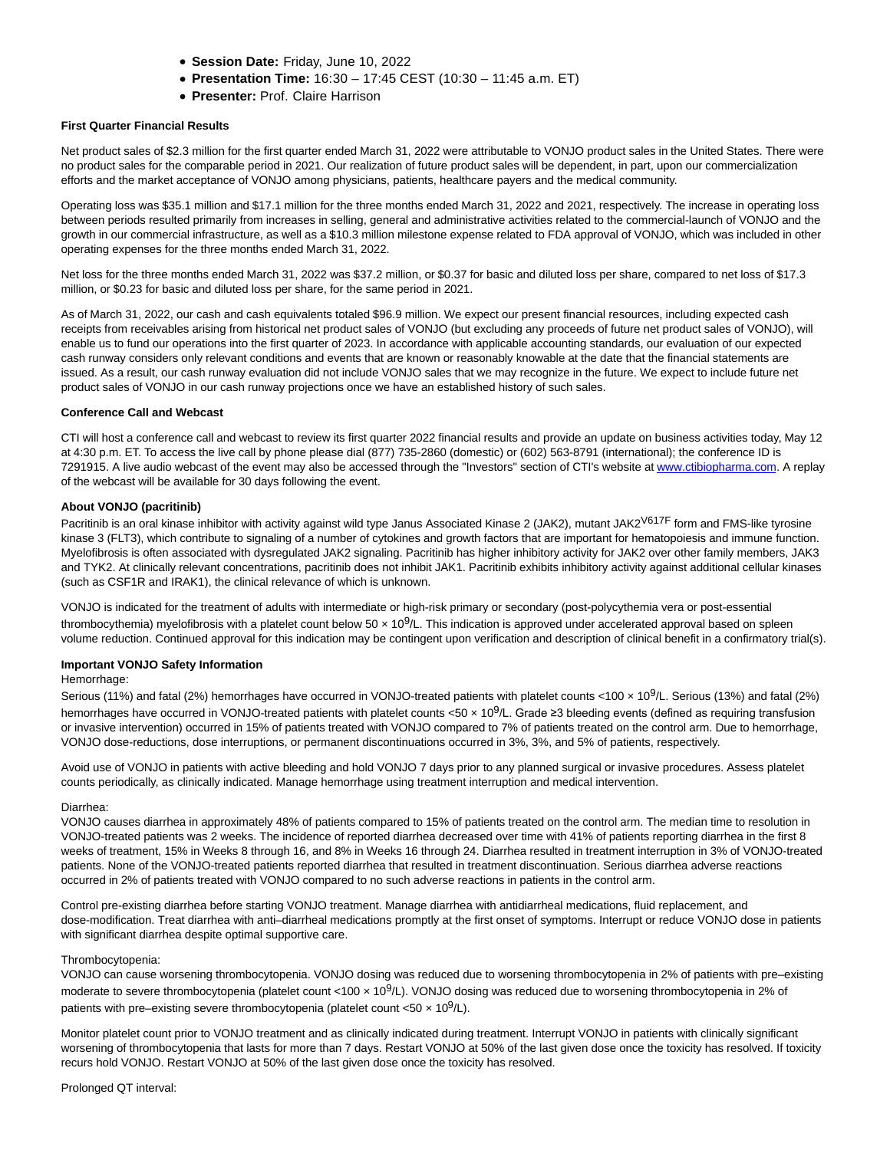- **Session Date:** Friday, June 10, 2022
- **Presentation Time:** 16:30 17:45 CEST (10:30 11:45 a.m. ET)
- **Presenter:** Prof. Claire Harrison

#### **First Quarter Financial Results**

Net product sales of \$2.3 million for the first quarter ended March 31, 2022 were attributable to VONJO product sales in the United States. There were no product sales for the comparable period in 2021. Our realization of future product sales will be dependent, in part, upon our commercialization efforts and the market acceptance of VONJO among physicians, patients, healthcare payers and the medical community.

Operating loss was \$35.1 million and \$17.1 million for the three months ended March 31, 2022 and 2021, respectively. The increase in operating loss between periods resulted primarily from increases in selling, general and administrative activities related to the commercial-launch of VONJO and the growth in our commercial infrastructure, as well as a \$10.3 million milestone expense related to FDA approval of VONJO, which was included in other operating expenses for the three months ended March 31, 2022.

Net loss for the three months ended March 31, 2022 was \$37.2 million, or \$0.37 for basic and diluted loss per share, compared to net loss of \$17.3 million, or \$0.23 for basic and diluted loss per share, for the same period in 2021.

As of March 31, 2022, our cash and cash equivalents totaled \$96.9 million. We expect our present financial resources, including expected cash receipts from receivables arising from historical net product sales of VONJO (but excluding any proceeds of future net product sales of VONJO), will enable us to fund our operations into the first quarter of 2023. In accordance with applicable accounting standards, our evaluation of our expected cash runway considers only relevant conditions and events that are known or reasonably knowable at the date that the financial statements are issued. As a result, our cash runway evaluation did not include VONJO sales that we may recognize in the future. We expect to include future net product sales of VONJO in our cash runway projections once we have an established history of such sales.

#### **Conference Call and Webcast**

CTI will host a conference call and webcast to review its first quarter 2022 financial results and provide an update on business activities today, May 12 at 4:30 p.m. ET. To access the live call by phone please dial (877) 735-2860 (domestic) or (602) 563-8791 (international); the conference ID is 7291915. A live audio webcast of the event may also be accessed through the "Investors" section of CTI's website a[t www.ctibiopharma.com.](http://www.ctibiopharma.com/) A replay of the webcast will be available for 30 days following the event.

#### **About VONJO (pacritinib)**

Pacritinib is an oral kinase inhibitor with activity against wild type Janus Associated Kinase 2 (JAK2), mutant JAK2<sup>V617F</sup> form and FMS-like tyrosine kinase 3 (FLT3), which contribute to signaling of a number of cytokines and growth factors that are important for hematopoiesis and immune function. Myelofibrosis is often associated with dysregulated JAK2 signaling. Pacritinib has higher inhibitory activity for JAK2 over other family members, JAK3 and TYK2. At clinically relevant concentrations, pacritinib does not inhibit JAK1. Pacritinib exhibits inhibitory activity against additional cellular kinases (such as CSF1R and IRAK1), the clinical relevance of which is unknown.

VONJO is indicated for the treatment of adults with intermediate or high-risk primary or secondary (post-polycythemia vera or post-essential thrombocythemia) myelofibrosis with a platelet count below  $50 \times 10^9$ /L. This indication is approved under accelerated approval based on spleen volume reduction. Continued approval for this indication may be contingent upon verification and description of clinical benefit in a confirmatory trial(s).

# **Important VONJO Safety Information**

#### Hemorrhage:

Serious (11%) and fatal (2%) hemorrhages have occurred in VONJO-treated patients with platelet counts <100  $\times$  10<sup>9</sup>/L. Serious (13%) and fatal (2%) hemorrhages have occurred in VONJO-treated patients with platelet counts <50 x 10<sup>9</sup>/L. Grade ≥3 bleeding events (defined as requiring transfusion or invasive intervention) occurred in 15% of patients treated with VONJO compared to 7% of patients treated on the control arm. Due to hemorrhage, VONJO dose-reductions, dose interruptions, or permanent discontinuations occurred in 3%, 3%, and 5% of patients, respectively.

Avoid use of VONJO in patients with active bleeding and hold VONJO 7 days prior to any planned surgical or invasive procedures. Assess platelet counts periodically, as clinically indicated. Manage hemorrhage using treatment interruption and medical intervention.

#### Diarrhea:

VONJO causes diarrhea in approximately 48% of patients compared to 15% of patients treated on the control arm. The median time to resolution in VONJO-treated patients was 2 weeks. The incidence of reported diarrhea decreased over time with 41% of patients reporting diarrhea in the first 8 weeks of treatment, 15% in Weeks 8 through 16, and 8% in Weeks 16 through 24. Diarrhea resulted in treatment interruption in 3% of VONJO-treated patients. None of the VONJO-treated patients reported diarrhea that resulted in treatment discontinuation. Serious diarrhea adverse reactions occurred in 2% of patients treated with VONJO compared to no such adverse reactions in patients in the control arm.

Control pre-existing diarrhea before starting VONJO treatment. Manage diarrhea with antidiarrheal medications, fluid replacement, and dose-modification. Treat diarrhea with anti-diarrheal medications promptly at the first onset of symptoms. Interrupt or reduce VONJO dose in patients with significant diarrhea despite optimal supportive care.

# Thrombocytopenia:

VONJO can cause worsening thrombocytopenia. VONJO dosing was reduced due to worsening thrombocytopenia in 2% of patients with pre–existing moderate to severe thrombocytopenia (platelet count <100 x 10<sup>9</sup>/L). VONJO dosing was reduced due to worsening thrombocytopenia in 2% of patients with pre–existing severe thrombocytopenia (platelet count  $<$  50  $\times$  10<sup>9</sup>/L).

Monitor platelet count prior to VONJO treatment and as clinically indicated during treatment. Interrupt VONJO in patients with clinically significant worsening of thrombocytopenia that lasts for more than 7 days. Restart VONJO at 50% of the last given dose once the toxicity has resolved. If toxicity recurs hold VONJO. Restart VONJO at 50% of the last given dose once the toxicity has resolved.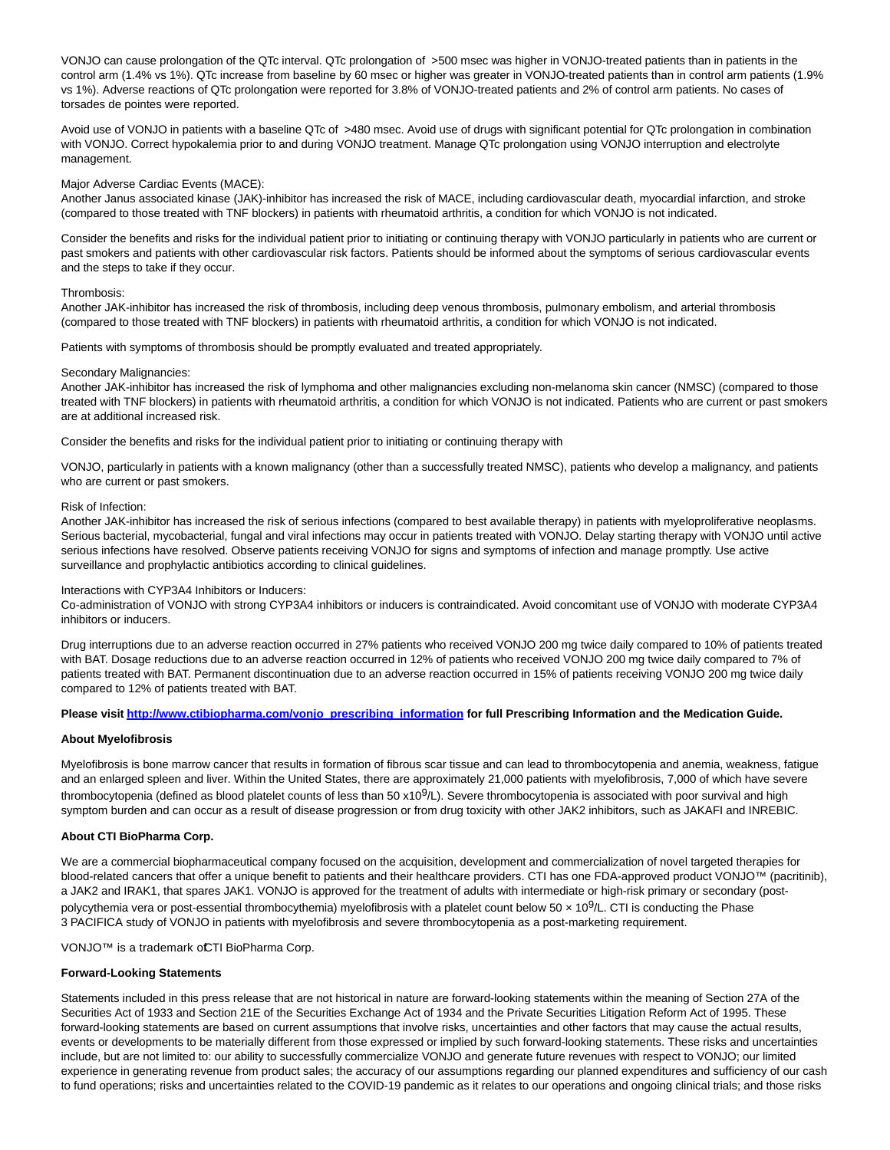VONJO can cause prolongation of the QTc interval. QTc prolongation of >500 msec was higher in VONJO-treated patients than in patients in the control arm (1.4% vs 1%). QTc increase from baseline by 60 msec or higher was greater in VONJO-treated patients than in control arm patients (1.9% vs 1%). Adverse reactions of QTc prolongation were reported for 3.8% of VONJO-treated patients and 2% of control arm patients. No cases of torsades de pointes were reported.

Avoid use of VONJO in patients with a baseline QTc of >480 msec. Avoid use of drugs with significant potential for QTc prolongation in combination with VONJO. Correct hypokalemia prior to and during VONJO treatment. Manage QTc prolongation using VONJO interruption and electrolyte management.

#### Major Adverse Cardiac Events (MACE):

Another Janus associated kinase (JAK)-inhibitor has increased the risk of MACE, including cardiovascular death, myocardial infarction, and stroke (compared to those treated with TNF blockers) in patients with rheumatoid arthritis, a condition for which VONJO is not indicated.

Consider the benefits and risks for the individual patient prior to initiating or continuing therapy with VONJO particularly in patients who are current or past smokers and patients with other cardiovascular risk factors. Patients should be informed about the symptoms of serious cardiovascular events and the steps to take if they occur.

#### Thrombosis:

Another JAK-inhibitor has increased the risk of thrombosis, including deep venous thrombosis, pulmonary embolism, and arterial thrombosis (compared to those treated with TNF blockers) in patients with rheumatoid arthritis, a condition for which VONJO is not indicated.

Patients with symptoms of thrombosis should be promptly evaluated and treated appropriately.

#### Secondary Malignancies:

Another JAK-inhibitor has increased the risk of lymphoma and other malignancies excluding non-melanoma skin cancer (NMSC) (compared to those treated with TNF blockers) in patients with rheumatoid arthritis, a condition for which VONJO is not indicated. Patients who are current or past smokers are at additional increased risk.

Consider the benefits and risks for the individual patient prior to initiating or continuing therapy with

VONJO, particularly in patients with a known malignancy (other than a successfully treated NMSC), patients who develop a malignancy, and patients who are current or past smokers.

#### Risk of Infection:

Another JAK-inhibitor has increased the risk of serious infections (compared to best available therapy) in patients with myeloproliferative neoplasms. Serious bacterial, mycobacterial, fungal and viral infections may occur in patients treated with VONJO. Delay starting therapy with VONJO until active serious infections have resolved. Observe patients receiving VONJO for signs and symptoms of infection and manage promptly. Use active surveillance and prophylactic antibiotics according to clinical guidelines.

# Interactions with CYP3A4 Inhibitors or Inducers:

Co-administration of VONJO with strong CYP3A4 inhibitors or inducers is contraindicated. Avoid concomitant use of VONJO with moderate CYP3A4 inhibitors or inducers.

Drug interruptions due to an adverse reaction occurred in 27% patients who received VONJO 200 mg twice daily compared to 10% of patients treated with BAT. Dosage reductions due to an adverse reaction occurred in 12% of patients who received VONJO 200 mg twice daily compared to 7% of patients treated with BAT. Permanent discontinuation due to an adverse reaction occurred in 15% of patients receiving VONJO 200 mg twice daily compared to 12% of patients treated with BAT.

# **Please visi[t http://www.ctibiopharma.com/vonjo\\_prescribing\\_information f](https://c212.net/c/link/?t=0&l=en&o=3535136-1&h=3039990410&u=https%3A%2F%2Fc212.net%2Fc%2Flink%2F%3Ft%3D0%26l%3Den%26o%3D3458326-1%26h%3D105524758%26u%3Dhttp%253A%252F%252Fwww.ctibiopharma.com%252Fvonjo_prescribing_information%26a%3Dhttp%253A%252F%252Fwww.ctibiopharma.com%252Fvonjo_prescribing_information&a=http%3A%2F%2Fwww.ctibiopharma.com%2Fvonjo_prescribing_information)or full Prescribing Information and the Medication Guide.**

#### **About Myelofibrosis**

Myelofibrosis is bone marrow cancer that results in formation of fibrous scar tissue and can lead to thrombocytopenia and anemia, weakness, fatigue and an enlarged spleen and liver. Within the United States, there are approximately 21,000 patients with myelofibrosis, 7,000 of which have severe thrombocytopenia (defined as blood platelet counts of less than 50 x10 $9/$ L). Severe thrombocytopenia is associated with poor survival and high symptom burden and can occur as a result of disease progression or from drug toxicity with other JAK2 inhibitors, such as JAKAFI and INREBIC.

# **About CTI BioPharma Corp.**

We are a commercial biopharmaceutical company focused on the acquisition, development and commercialization of novel targeted therapies for blood-related cancers that offer a unique benefit to patients and their healthcare providers. CTI has one FDA-approved product VONJO™ (pacritinib), a JAK2 and IRAK1, that spares JAK1. VONJO is approved for the treatment of adults with intermediate or high-risk primary or secondary (postpolycythemia vera or post-essential thrombocythemia) myelofibrosis with a platelet count below 50  $\times$  10<sup>9</sup>/L. CTI is conducting the Phase 3 PACIFICA study of VONJO in patients with myelofibrosis and severe thrombocytopenia as a post-marketing requirement.

VONJO<sup>™</sup> is a trademark oCTI BioPharma Corp.

# **Forward-Looking Statements**

Statements included in this press release that are not historical in nature are forward-looking statements within the meaning of Section 27A of the Securities Act of 1933 and Section 21E of the Securities Exchange Act of 1934 and the Private Securities Litigation Reform Act of 1995. These forward-looking statements are based on current assumptions that involve risks, uncertainties and other factors that may cause the actual results, events or developments to be materially different from those expressed or implied by such forward-looking statements. These risks and uncertainties include, but are not limited to: our ability to successfully commercialize VONJO and generate future revenues with respect to VONJO; our limited experience in generating revenue from product sales; the accuracy of our assumptions regarding our planned expenditures and sufficiency of our cash to fund operations; risks and uncertainties related to the COVID-19 pandemic as it relates to our operations and ongoing clinical trials; and those risks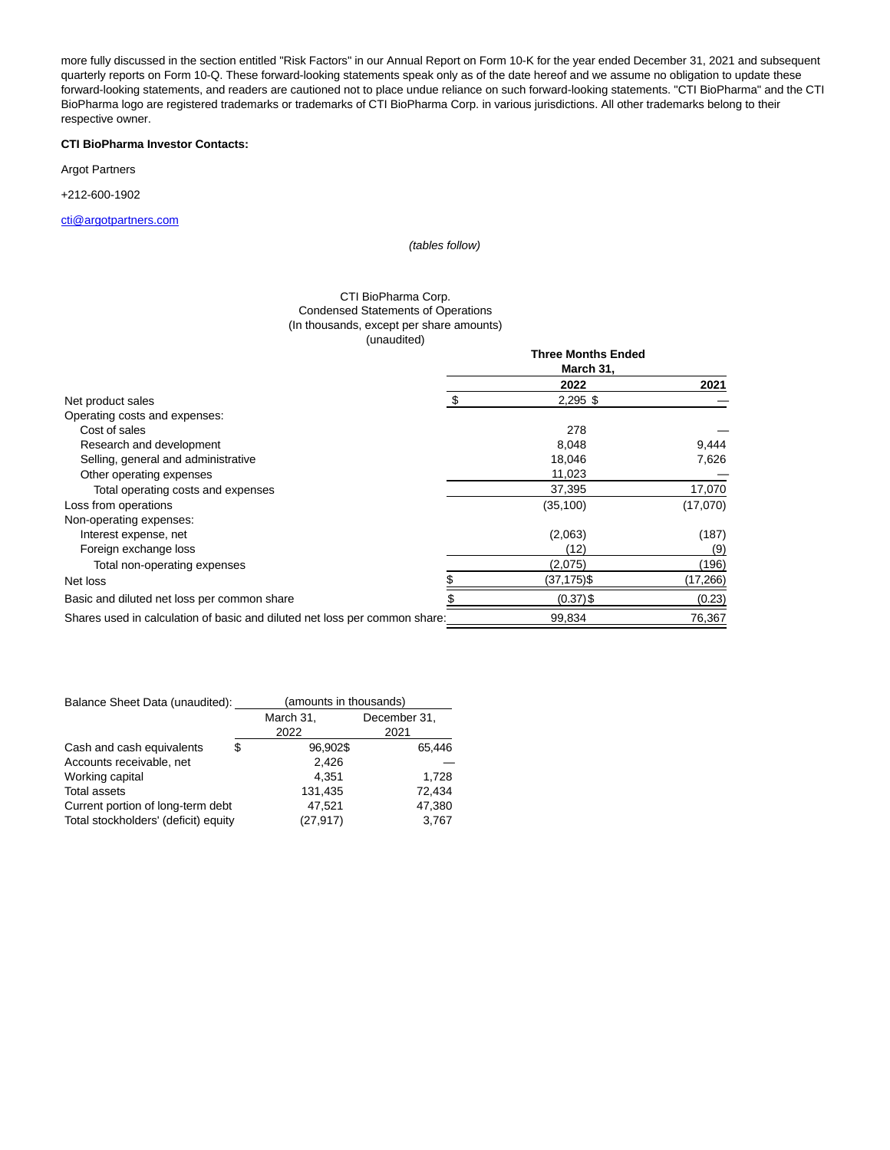more fully discussed in the section entitled "Risk Factors" in our Annual Report on Form 10-K for the year ended December 31, 2021 and subsequent quarterly reports on Form 10-Q. These forward-looking statements speak only as of the date hereof and we assume no obligation to update these forward-looking statements, and readers are cautioned not to place undue reliance on such forward-looking statements. "CTI BioPharma" and the CTI BioPharma logo are registered trademarks or trademarks of CTI BioPharma Corp. in various jurisdictions. All other trademarks belong to their respective owner.

# **CTI BioPharma Investor Contacts:**

Argot Partners

+212-600-1902

# [cti@argotpartners.com](mailto:cti@argotpartners.com)

#### (tables follow)

# CTI BioPharma Corp. Condensed Statements of Operations (In thousands, except per share amounts) (unaudited)

|                                                                            | <b>Three Months Ended</b><br>March 31, |          |
|----------------------------------------------------------------------------|----------------------------------------|----------|
|                                                                            | 2022                                   | 2021     |
| Net product sales                                                          | \$<br>$2,295$ \$                       |          |
| Operating costs and expenses:                                              |                                        |          |
| Cost of sales                                                              | 278                                    |          |
| Research and development                                                   | 8,048                                  | 9,444    |
| Selling, general and administrative                                        | 18,046                                 | 7,626    |
| Other operating expenses                                                   | 11,023                                 |          |
| Total operating costs and expenses                                         | 37,395                                 | 17,070   |
| Loss from operations                                                       | (35, 100)                              | (17,070) |
| Non-operating expenses:                                                    |                                        |          |
| Interest expense, net                                                      | (2,063)                                | (187)    |
| Foreign exchange loss                                                      | $^{\prime}$ 12)                        | (9)      |
| Total non-operating expenses                                               | (2,075)                                | (196)    |
| Net loss                                                                   | (37,175)\$                             | (17,266) |
| Basic and diluted net loss per common share                                | $(0.37)$ \$                            | (0.23)   |
| Shares used in calculation of basic and diluted net loss per common share: | 99,834                                 | 76,367   |

| Balance Sheet Data (unaudited):      | (amounts in thousands) |           |              |
|--------------------------------------|------------------------|-----------|--------------|
|                                      |                        | March 31, | December 31, |
|                                      |                        | 2022      | 2021         |
| Cash and cash equivalents<br>S       |                        | 96,902\$  | 65,446       |
| Accounts receivable, net             |                        | 2.426     |              |
| Working capital                      |                        | 4.351     | 1.728        |
| <b>Total assets</b>                  |                        | 131,435   | 72,434       |
| Current portion of long-term debt    |                        | 47,521    | 47,380       |
| Total stockholders' (deficit) equity |                        | (27,917)  | 3.767        |